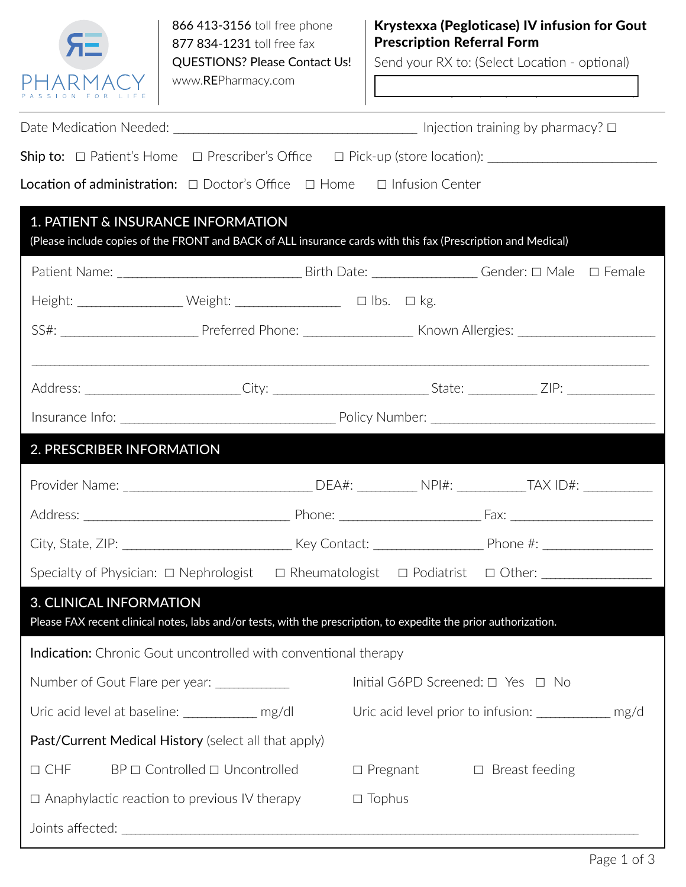

RE Pharmacy / Irvine / 949 393-5780 phone / 949 3935790 fax Palm Desert / 760 340-3248 phone / 760 349-3258 fax

Send your RX to: (Select Location - optional)

| Ship to: □ Patient's Home □ Prescriber's Office □ Pick-up (store location): _______________________              |                                                                                                                                                                                                                                                                                                                                                                                                                                                                                            |                                                       |  |                          |  |  |  |  |
|------------------------------------------------------------------------------------------------------------------|--------------------------------------------------------------------------------------------------------------------------------------------------------------------------------------------------------------------------------------------------------------------------------------------------------------------------------------------------------------------------------------------------------------------------------------------------------------------------------------------|-------------------------------------------------------|--|--------------------------|--|--|--|--|
| Location of administration: □ Doctor's Office □ Home □ Infusion Center                                           |                                                                                                                                                                                                                                                                                                                                                                                                                                                                                            |                                                       |  |                          |  |  |  |  |
| 1. PATIENT & INSURANCE INFORMATION                                                                               |                                                                                                                                                                                                                                                                                                                                                                                                                                                                                            |                                                       |  |                          |  |  |  |  |
| (Please include copies of the FRONT and BACK of ALL insurance cards with this fax (Prescription and Medical)     |                                                                                                                                                                                                                                                                                                                                                                                                                                                                                            |                                                       |  |                          |  |  |  |  |
|                                                                                                                  |                                                                                                                                                                                                                                                                                                                                                                                                                                                                                            |                                                       |  |                          |  |  |  |  |
|                                                                                                                  | $\begin{minipage}[c]{0.9\linewidth} Height: \begin{tabular}[c]{@{}l@{}} \hline \multicolumn{3}{c}{\textbf{Height:}} \end{tabular} & \begin{tabular}[c]{@{}l@{}} \hline \multicolumn{3}{c}{\textbf{Height:}} \end{tabular} & \begin{tabular}[c]{@{}l@{}} \hline \multicolumn{3}{c}{\textbf{Hight:}} \end{tabular} & \begin{tabular}[c]{@{}l@{}} \hline \multicolumn{3}{c}{\textbf{Hight:}} \end{tabular} & \begin{tabular}[c]{@{}l@{}} \hline \multicolumn{3}{c}{\textbf{Hight:}} \end{tab$ |                                                       |  |                          |  |  |  |  |
|                                                                                                                  |                                                                                                                                                                                                                                                                                                                                                                                                                                                                                            |                                                       |  |                          |  |  |  |  |
|                                                                                                                  |                                                                                                                                                                                                                                                                                                                                                                                                                                                                                            |                                                       |  |                          |  |  |  |  |
|                                                                                                                  |                                                                                                                                                                                                                                                                                                                                                                                                                                                                                            |                                                       |  |                          |  |  |  |  |
|                                                                                                                  |                                                                                                                                                                                                                                                                                                                                                                                                                                                                                            |                                                       |  |                          |  |  |  |  |
| 2. PRESCRIBER INFORMATION                                                                                        |                                                                                                                                                                                                                                                                                                                                                                                                                                                                                            |                                                       |  |                          |  |  |  |  |
|                                                                                                                  |                                                                                                                                                                                                                                                                                                                                                                                                                                                                                            |                                                       |  |                          |  |  |  |  |
|                                                                                                                  |                                                                                                                                                                                                                                                                                                                                                                                                                                                                                            |                                                       |  |                          |  |  |  |  |
|                                                                                                                  |                                                                                                                                                                                                                                                                                                                                                                                                                                                                                            |                                                       |  |                          |  |  |  |  |
| Specialty of Physician: □ Nephrologist □ Rheumatologist □ Podiatrist □ Other: ____________________               |                                                                                                                                                                                                                                                                                                                                                                                                                                                                                            |                                                       |  |                          |  |  |  |  |
| <b>3. CLINICAL INFORMATION</b>                                                                                   |                                                                                                                                                                                                                                                                                                                                                                                                                                                                                            |                                                       |  |                          |  |  |  |  |
| Please FAX recent clinical notes, labs and/or tests, with the prescription, to expedite the prior authorization. |                                                                                                                                                                                                                                                                                                                                                                                                                                                                                            |                                                       |  |                          |  |  |  |  |
| <b>Indication:</b> Chronic Gout uncontrolled with conventional therapy                                           |                                                                                                                                                                                                                                                                                                                                                                                                                                                                                            |                                                       |  |                          |  |  |  |  |
| Number of Gout Flare per year: _____________                                                                     |                                                                                                                                                                                                                                                                                                                                                                                                                                                                                            | Initial G6PD Screened: $\Box$ Yes $\Box$ No           |  |                          |  |  |  |  |
| Uric acid level at baseline: ______________ mg/dl                                                                |                                                                                                                                                                                                                                                                                                                                                                                                                                                                                            | Uric acid level prior to infusion: _____________ mg/d |  |                          |  |  |  |  |
| Past/Current Medical History (select all that apply)                                                             |                                                                                                                                                                                                                                                                                                                                                                                                                                                                                            |                                                       |  |                          |  |  |  |  |
| $\Box$ CHF<br>$BP \square$ Controlled $\square$ Uncontrolled                                                     |                                                                                                                                                                                                                                                                                                                                                                                                                                                                                            | $\Box$ Pregnant                                       |  | Breast feeding<br>$\Box$ |  |  |  |  |
| $\Box$ Anaphylactic reaction to previous IV therapy                                                              | $\square$ Tophus                                                                                                                                                                                                                                                                                                                                                                                                                                                                           |                                                       |  |                          |  |  |  |  |
| Joints affected:                                                                                                 |                                                                                                                                                                                                                                                                                                                                                                                                                                                                                            |                                                       |  |                          |  |  |  |  |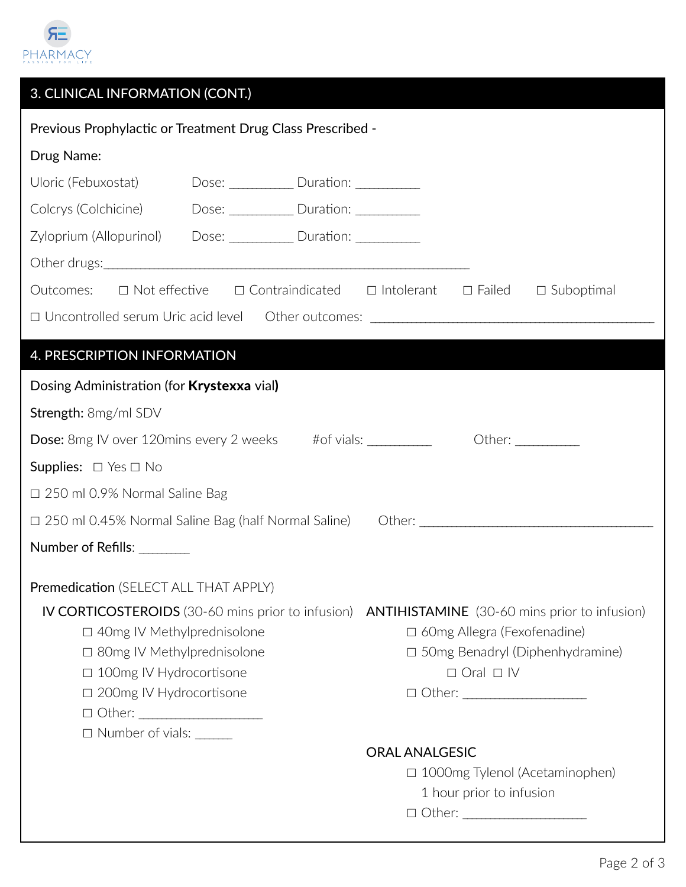

| Previous Prophylactic or Treatment Drug Class Prescribed -                                                                                                                                                                                                                                                                                                             |  |  |  |  |  |  |  |  |
|------------------------------------------------------------------------------------------------------------------------------------------------------------------------------------------------------------------------------------------------------------------------------------------------------------------------------------------------------------------------|--|--|--|--|--|--|--|--|
| Drug Name:                                                                                                                                                                                                                                                                                                                                                             |  |  |  |  |  |  |  |  |
| Uloric (Febuxostat) Dose: ___________ Duration: _________                                                                                                                                                                                                                                                                                                              |  |  |  |  |  |  |  |  |
| Colcrys (Colchicine) Dose: ____________ Duration: __________                                                                                                                                                                                                                                                                                                           |  |  |  |  |  |  |  |  |
| Zyloprium (Allopurinol) Dose: ____________ Duration: __________                                                                                                                                                                                                                                                                                                        |  |  |  |  |  |  |  |  |
|                                                                                                                                                                                                                                                                                                                                                                        |  |  |  |  |  |  |  |  |
| Outcomes: □ Not effective □ Contraindicated □ Intolerant □ Failed □ Suboptimal                                                                                                                                                                                                                                                                                         |  |  |  |  |  |  |  |  |
|                                                                                                                                                                                                                                                                                                                                                                        |  |  |  |  |  |  |  |  |
|                                                                                                                                                                                                                                                                                                                                                                        |  |  |  |  |  |  |  |  |
| 4. PRESCRIPTION INFORMATION                                                                                                                                                                                                                                                                                                                                            |  |  |  |  |  |  |  |  |
| Dosing Administration (for Krystexxa vial)                                                                                                                                                                                                                                                                                                                             |  |  |  |  |  |  |  |  |
| Strength: 8mg/ml SDV                                                                                                                                                                                                                                                                                                                                                   |  |  |  |  |  |  |  |  |
|                                                                                                                                                                                                                                                                                                                                                                        |  |  |  |  |  |  |  |  |
| <b>Supplies:</b> $\Box$ Yes $\Box$ No                                                                                                                                                                                                                                                                                                                                  |  |  |  |  |  |  |  |  |
| □ 250 ml 0.9% Normal Saline Bag                                                                                                                                                                                                                                                                                                                                        |  |  |  |  |  |  |  |  |
|                                                                                                                                                                                                                                                                                                                                                                        |  |  |  |  |  |  |  |  |
| Number of Refills: ________                                                                                                                                                                                                                                                                                                                                            |  |  |  |  |  |  |  |  |
| Premedication (SELECT ALL THAT APPLY)                                                                                                                                                                                                                                                                                                                                  |  |  |  |  |  |  |  |  |
| IV CORTICOSTEROIDS (30-60 mins prior to infusion) ANTIHISTAMINE (30-60 mins prior to infusion)<br>$\Box$ 40mg IV Methylprednisolone<br>$\Box$ 60mg Allegra (Fexofenadine)<br>$\Box$ 50mg Benadryl (Diphenhydramine)<br>$\Box$ 80mg IV Methylprednisolone<br>□ 100mg IV Hydrocortisone<br>$\Box$ Oral $\Box$ IV<br>□ 200mg IV Hydrocortisone<br>$\Box$ Number of vials: |  |  |  |  |  |  |  |  |
| <b>ORAL ANALGESIC</b><br>□ 1000mg Tylenol (Acetaminophen)<br>1 hour prior to infusion                                                                                                                                                                                                                                                                                  |  |  |  |  |  |  |  |  |